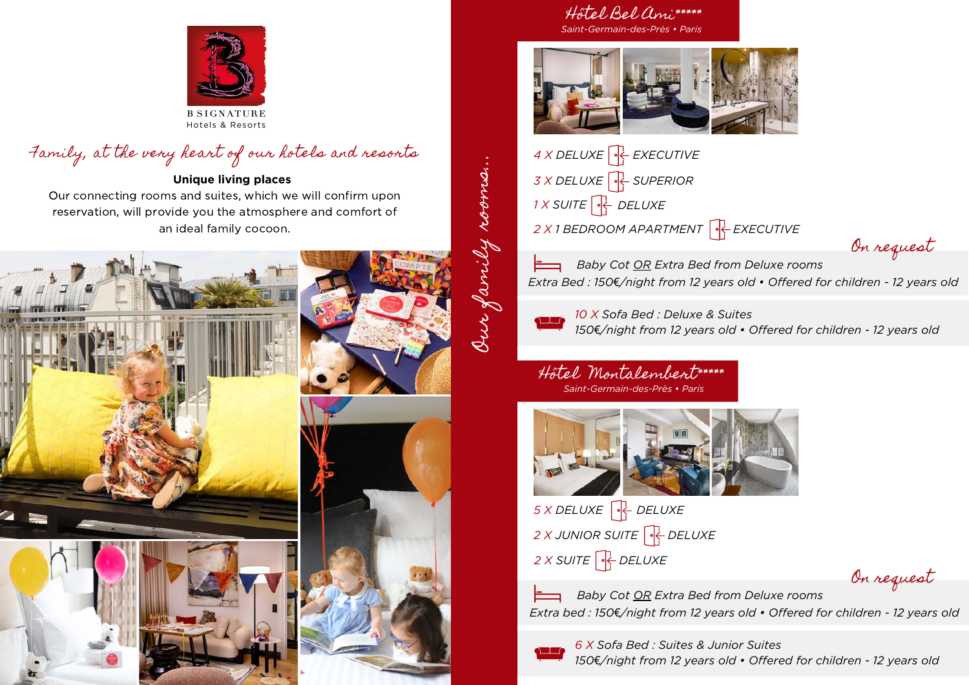

# Family, at the very heart of our hotels and resorts

#### **Unique living places**

Our connecting rooms and suites, which we will confirm upon reservation, will provide you the atmosphere and comfort of an ideal family cocoon.



#### Hôtel Bel Ami\*\*\*\*\* *Saint-Germain-des-Près • Paris*



*DELUXE 1 X SUITE 4 X DELUXE EXECUTIVE 3 X DELUXE SUPERIOR 2 X 1 BEDROOM APARTMENT EXECUTIVE*

On request

*Baby Cot OR Extra Bed from Deluxe rooms Extra Bed : 150*€*/night from 12 years old • Offered for children - 12 years old*



Our family rooms...

Our family rooms.

*10 X Sofa Bed : Deluxe & Suites 150*€*/night from 12 years old • Offered for children - 12 years old*

Hôtel Montalembert\*\*\*\*\* *Saint-Germain-des-Près • Paris*



*2 X SUITE DELUXE 5 X DELUXE DELUXE 2 X JUNIOR SUITE DELUXE*

On request

*Baby Cot OR Extra Bed from Deluxe rooms Extra bed : 150*€*/night from 12 years old • Offered for children - 12 years old*



*6 X Sofa Bed : Suites & Junior Suites 150*€*/night from 12 years old • Offered for children - 12 years old*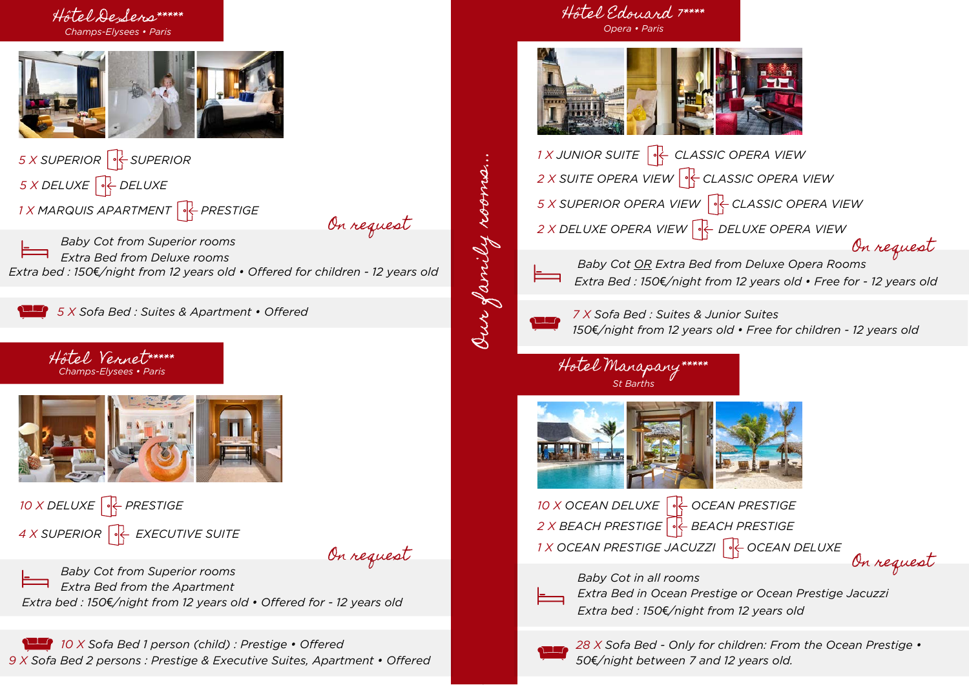



*5 X DELUXE DELUXE 5 X SUPERIOR SUPERIOR 1 X MARQUIS APARTMENT PRESTIGE*

On request

*Baby Cot from Superior rooms Extra bed : 150*€*/night from 12 years old • Offered for children - 12 years old Extra Bed from Deluxe rooms*

*5 X Sofa Bed : Suites & Apartment • Offered*





*10 X DELUXE PRESTIGE 4 X SUPERIOR EXECUTIVE SUITE*

On request

*Baby Cot from Superior rooms Extra bed : 150*€*/night from 12 years old • Offered for - 12 years old Extra Bed from the Apartment*

*10 X Sofa Bed 1 person (child) : Prestige • Offered 9 X Sofa Bed 2 persons : Prestige & Executive Suites, Apartment • Offered*

### Hôtel Edouard 7\*\*\*\* *Opera • Paris*



*1 X JUNIOR SUITE CLASSIC OPERA VIEW 2 X SUITE OPERA VIEW CLASSIC OPERA VIEW 5 X SUPERIOR OPERA VIEW CLASSIC OPERA VIEW 2 X DELUXE OPERA VIEW DELUXE OPERA VIEW* On request



*Baby Cot OR Extra Bed from Deluxe Opera Rooms Extra Bed : 150*€*/night from 12 years old • Free for - 12 years old*



Our family rooms...

Our family rooms.

*7 X Sofa Bed : Suites & Junior Suites 150*€*/night from 12 years old • Free for children - 12 years old*

### Hotel Manapany\*\*\*\*\* *St Barths*



*10 X OCEAN DELUXE OCEAN PRESTIGE 2 X BEACH PRESTIGE BEACH PRESTIGE 1X OCEAN PRESTIGE JACUZZI*  $\left|\frac{1}{2}\right|$  *OCEAN DELUXE* 

*Baby Cot in all rooms*





*Extra Bed in Ocean Prestige or Ocean Prestige Jacuzzi Extra bed : 150*€*/night from 12 years old*



*28 X Sofa Bed - Only for children: From the Ocean Prestige • 50*€*/night between 7 and 12 years old.*